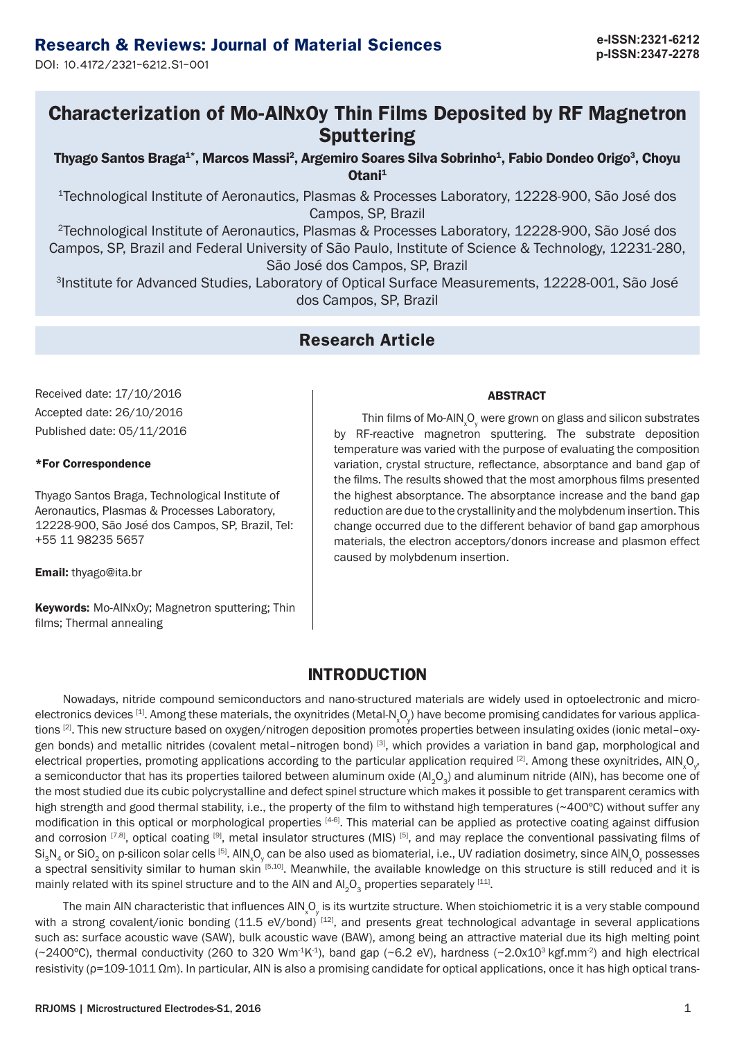# **p-ISSN:2347-2278 Research & Reviews: Journal of Material Sciences**

DOI: 10.4172/2321-6212.S1-001

## **Characterization of Mo-AlNxOy Thin Films Deposited by RF Magnetron Sputtering**

Thyago Santos Braga<sup>1\*</sup>, Marcos Massi<sup>2</sup>, Argemiro Soares Silva Sobrinho<sup>1</sup>, Fabio Dondeo Origo<sup>3</sup>, Choyu Otani<sup>1</sup>

<sup>1</sup>Technological Institute of Aeronautics, Plasmas & Processes Laboratory, 12228-900, São José dos Campos, SP, Brazil

<sup>2</sup>Technological Institute of Aeronautics, Plasmas & Processes Laboratory, 12228-900, São José dos Campos, SP, Brazil and Federal University of São Paulo, Institute of Science & Technology, 12231-280, São José dos Campos, SP, Brazil

<sup>3</sup>Institute for Advanced Studies, Laboratory of Optical Surface Measurements, 12228-001, São José dos Campos, SP, Brazil

## **Research Article**

Received date: 17/10/2016 Accepted date: 26/10/2016 Published date: 05/11/2016

### \*For Correspondence

Thyago Santos Braga, Technological Institute of Aeronautics, Plasmas & Processes Laboratory, 12228-900, São José dos Campos, SP, Brazil, Tel: +55 11 98235 5657

Email: thyago@ita.br

Keywords: Mo-AlNxOy; Magnetron sputtering; Thin films; Thermal annealing

#### ABSTRACT

Thin films of Mo-AIN  $\llcorner\!\mathsf{O}_\mathsf{y}$  were grown on glass and silicon substrates by RF-reactive magnetron sputtering. The substrate deposition temperature was varied with the purpose of evaluating the composition variation, crystal structure, reflectance, absorptance and band gap of the films. The results showed that the most amorphous films presented the highest absorptance. The absorptance increase and the band gap reduction are due to the crystallinity and the molybdenum insertion. This change occurred due to the different behavior of band gap amorphous materials, the electron acceptors/donors increase and plasmon effect caused by molybdenum insertion.

### **INTRODUCTION**

Nowadays, nitride compound semiconductors and nano-structured materials are widely used in optoelectronic and microelectronics devices  $^{[1]}$ . Among these materials, the oxynitrides (Metal-N<sub>x</sub>O<sub>y</sub>) have become promising candidates for various applications [2]. This new structure based on oxygen/nitrogen deposition promotes properties between insulating oxides (ionic metal–oxygen bonds) and metallic nitrides (covalent metal–nitrogen bond) [3], which provides a variation in band gap, morphological and electrical properties, promoting applications according to the particular application required  $^{[2]}$ . Among these oxynitrides, AIN<sub>x</sub>O<sub>y</sub>, a semiconductor that has its properties tailored between aluminum oxide (Al<sub>2</sub>O<sub>2</sub>) and aluminum nitride (AlN), has become one of the most studied due its cubic polycrystalline and defect spinel structure which makes it possible to get transparent ceramics with high strength and good thermal stability, i.e., the property of the film to withstand high temperatures (~400°C) without suffer any modification in this optical or morphological properties [4-6]. This material can be applied as protective coating against diffusion and corrosion  $^{[7,8]}$ , optical coating  $^{[9]}$ , metal insulator structures (MIS)  $^{[5]}$ , and may replace the conventional passivating films of Si $_{3}$ N $_{4}$  or SiO $_{2}$  on p-silicon solar cells  $^{[5]}$ . AlN $_{\sf x}$ O $_{\sf y}$  can be also used as biomaterial, i.e., UV radiation dosimetry, since AlN $_{\sf x}$ O $_{\sf y}$  possesses a spectral sensitivity similar to human skin [5,10]. Meanwhile, the available knowledge on this structure is still reduced and it is mainly related with its spinel structure and to the AIN and AI<sub>2</sub>O<sub>2</sub> properties separately [11].

The main AIN characteristic that influences AIN  $\rm Q_y$  is its wurtzite structure. When stoichiometric it is a very stable compound with a strong covalent/ionic bonding  $(11.5 \text{ eV/bond})$   $^{[12]}$ , and presents great technological advantage in several applications such as: surface acoustic wave (SAW), bulk acoustic wave (BAW), among being an attractive material due its high melting point ( $\sim$ 2400 $\degree$ C), thermal conductivity (260 to 320 Wm<sup>-1</sup>K<sup>-1</sup>), band gap ( $\sim$ 6.2 eV), hardness ( $\sim$ 2.0x10<sup>3</sup> kgf.mm<sup>-2</sup>) and high electrical resistivity (ρ=109-1011 Ωm). In particular, AIN is also a promising candidate for optical applications, once it has high optical trans-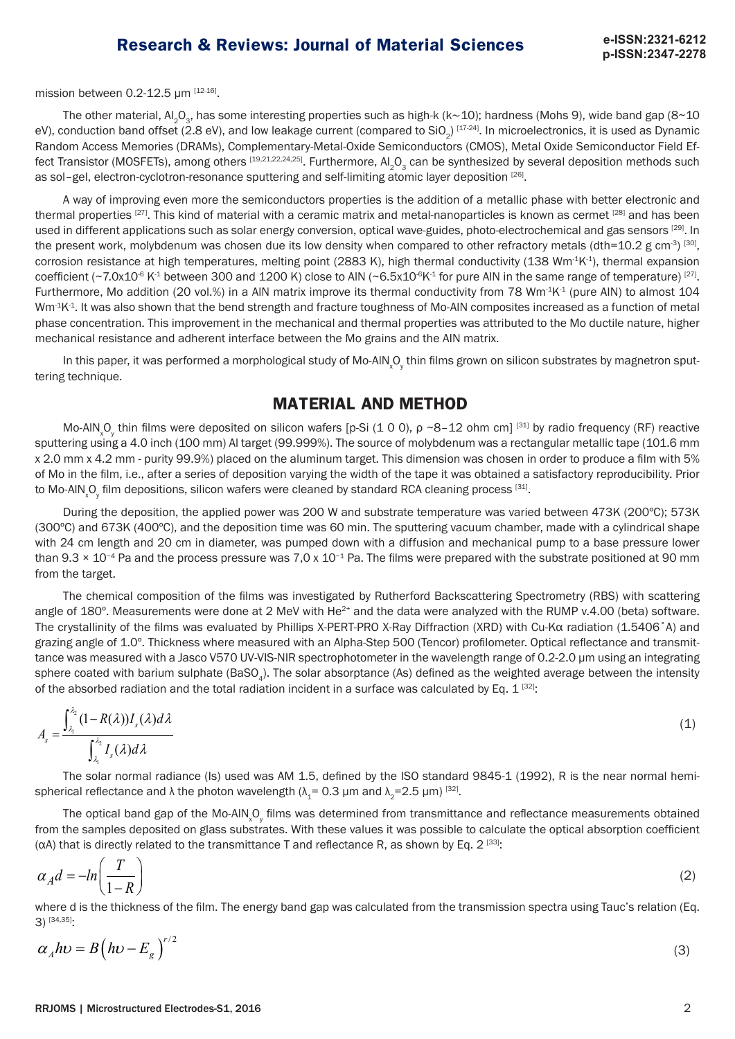mission between  $0.2 - 12.5$  µm  $[12 - 16]$ .

The other material, Al<sub>2</sub>O<sub>3</sub>, has some interesting properties such as high-k (k∼10); hardness (Mohs 9), wide band gap (8~10 eV), conduction band offset (2.8 eV), and low leakage current (compared to SiO<sub>2</sub>) [17-24]. In microelectronics, it is used as Dynamic Random Access Memories (DRAMs), Complementary-Metal-Oxide Semiconductors (CMOS), Metal Oxide Semiconductor Field Effect Transistor (MOSFETs), among others [19,21,22,24,25]. Furthermore, Al<sub>2</sub>O<sub>2</sub> can be synthesized by several deposition methods such as sol-gel, electron-cyclotron-resonance sputtering and self-limiting atomic layer deposition [26].

A way of improving even more the semiconductors properties is the addition of a metallic phase with better electronic and thermal properties <sup>[27]</sup>. This kind of material with a ceramic matrix and metal-nanoparticles is known as cermet <sup>[28]</sup> and has been used in different applications such as solar energy conversion, optical wave-guides, photo-electrochemical and gas sensors [29]. In the present work, molybdenum was chosen due its low density when compared to other refractory metals (dth=10.2 g cm<sup>-3) [30]</sup>, corrosion resistance at high temperatures, melting point (2883 K), high thermal conductivity (138 Wm<sup>-1</sup>K<sup>-1</sup>), thermal expansion coefficient (~7.0x10<sup>-6</sup> K<sup>-1</sup> between 300 and 1200 K) close to AlN (~6.5x10<sup>-6</sup>K<sup>-1</sup> for pure AlN in the same range of temperature) [27]. Furthermore, Mo addition (20 vol.%) in a AlN matrix improve its thermal conductivity from 78 Wm-1K-1 (pure AIN) to almost 104  $Wm<sup>4</sup>K<sup>4</sup>$ . It was also shown that the bend strength and fracture toughness of Mo-AlN composites increased as a function of metal phase concentration. This improvement in the mechanical and thermal properties was attributed to the Mo ductile nature, higher mechanical resistance and adherent interface between the Mo grains and the AIN matrix.

In this paper, it was performed a morphological study of Mo-AIN<sub>x</sub>O<sub>y</sub> thin films grown on silicon substrates by magnetron sputtering technique.

### **MATERIAL AND METHOD**

Mo-AIN<sub>x</sub>O<sub>y</sub> thin films were deposited on silicon wafers [p-Si (1 0 0), p ~8-12 ohm cm] <sup>[31]</sup> by radio frequency (RF) reactive sputtering using a 4.0 inch (100 mm) Al target (99.999%). The source of molybdenum was a rectangular metallic tape (101.6 mm x 2.0 mm x 4.2 mm - purity 99.9%) placed on the aluminum target. This dimension was chosen in order to produce a film with 5% of Mo in the film, i.e., after a series of deposition varying the width of the tape it was obtained a satisfactory reproducibility. Prior to Mo-AIN  $\rm Q_y$  film depositions, silicon wafers were cleaned by standard RCA cleaning process  $^{[31]}$ .

During the deposition, the applied power was 200 W and substrate temperature was varied between 473K (200ºC); 573K (300ºC) and 673K (400ºC), and the deposition time was 60 min. The sputtering vacuum chamber, made with a cylindrical shape with 24 cm length and 20 cm in diameter, was pumped down with a diffusion and mechanical pump to a base pressure lower than 9.3 × 10<sup>-4</sup> Pa and the process pressure was 7,0 x 10<sup>-1</sup> Pa. The films were prepared with the substrate positioned at 90 mm from the target.

The chemical composition of the films was investigated by Rutherford Backscattering Spectrometry (RBS) with scattering angle of  $180^\circ$ . Measurements were done at 2 MeV with He<sup>2+</sup> and the data were analyzed with the RUMP v.4.00 (beta) software. The crystallinity of the films was evaluated by Phillips X-PERT-PRO X-Ray Diffraction (XRD) with Cu-Kα radiation (1.5406˚A) and grazing angle of 1.0º. Thickness where measured with an Alpha-Step 500 (Tencor) profilometer. Optical reflectance and transmittance was measured with a Jasco V570 UV-VIS-NIR spectrophotometer in the wavelength range of 0.2-2.0 μm using an integrating sphere coated with barium sulphate (BaSO<sub>4</sub>). The solar absorptance (As) defined as the weighted average between the intensity of the absorbed radiation and the total radiation incident in a surface was calculated by Eq.  $1^{[32]}$ :

$$
A_s = \frac{\int_{\lambda_1}^{\lambda_2} (1 - R(\lambda)) I_s(\lambda) d\lambda}{\int_{\lambda_1}^{\lambda_2} I_s(\lambda) d\lambda} \tag{1}
$$

The solar normal radiance (Is) used was AM 1.5, defined by the ISO standard 9845-1 (1992), R is the near normal hemispherical reflectance and  $\lambda$  the photon wavelength ( $\lambda$ <sub>z</sub> = 0.3 µm and  $\lambda$ <sub>z</sub> = 2.5 µm) <sup>[32]</sup>.

The optical band gap of the Mo-AIN<sub>x</sub>O<sub>y</sub> films was determined from transmittance and reflectance measurements obtained from the samples deposited on glass substrates. With these values it was possible to calculate the optical absorption coefficient ( $\alpha$ A) that is directly related to the transmittance T and reflectance R, as shown by Eq. 2<sup>[33]</sup>:

$$
\alpha_A d = -\ln\left(\frac{T}{1 - R}\right) \tag{2}
$$

where d is the thickness of the film. The energy band gap was calculated from the transmission spectra using Tauc's relation (Eq. 3) [34,35]:

$$
\alpha_A h v = B \left( h v - E_g \right)^{r/2} \tag{3}
$$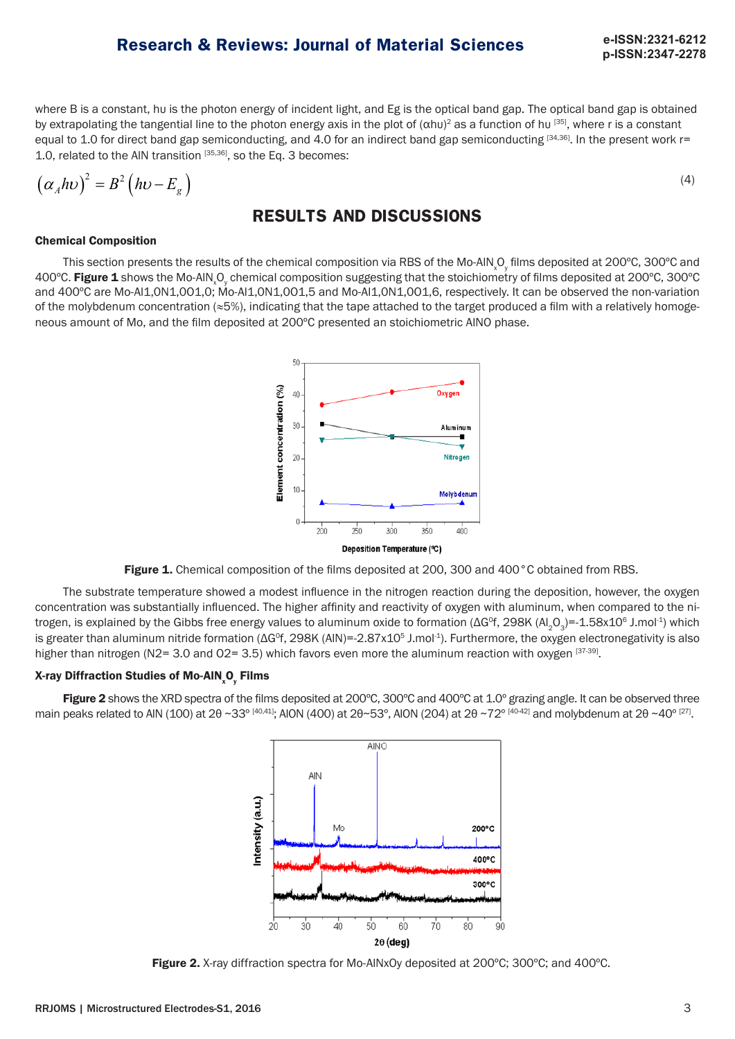**p-ISSN:2347-2278**

where B is a constant, hυ is the photon energy of incident light, and Eg is the optical band gap. The optical band gap is obtained by extrapolating the tangential line to the photon energy axis in the plot of  $(\alpha hu)^2$  as a function of hu [35], where r is a constant equal to 1.0 for direct band gap semiconducting, and 4.0 for an indirect band gap semiconducting  $[34,36]$ . In the present work r= 1.0, related to the AIN transition  $[35,36]$ , so the Eq. 3 becomes:

$$
\left(\alpha_A h v\right)^2 = B^2 \left(h v - E_g\right) \tag{4}
$$

## **RESULTS AND DISCUSSIONS**

### Chemical Composition

This section presents the results of the chemical composition via RBS of the Mo-AIN<sub>x</sub>O<sub>y</sub> films deposited at 200°C, 300°C and 400°C. **Figure 1** shows the Mo-AIN<sub>x</sub>O<sub>y</sub> chemical composition suggesting that the stoichiometry of films deposited at 200°C, 300°C and 400ºC are Mo-Al1,0N1,0O1,0; Mo-Al1,0N1,0O1,5 and Mo-Al1,0N1,0O1,6, respectively. It can be observed the non-variation of the molybdenum concentration (≈5%), indicating that the tape attached to the target produced a film with a relatively homogeneous amount of Mo, and the film deposited at 200ºC presented an stoichiometric AlNO phase.



Figure 1. Chemical composition of the films deposited at 200, 300 and 400°C obtained from RBS.

The substrate temperature showed a modest influence in the nitrogen reaction during the deposition, however, the oxygen concentration was substantially influenced. The higher affinity and reactivity of oxygen with aluminum, when compared to the nitrogen, is explained by the Gibbs free energy values to aluminum oxide to formation ( $\Delta G^{\circ}f$ , 298K (Al<sub>2</sub>O<sub>3</sub>)=-1.58x10<sup>6</sup> J.mol<sup>-1</sup>) which is greater than aluminum nitride formation (ΔG<sup>o</sup>f, 298K (AIN)=-2.87x10<sup>5</sup> J.mol<sup>-1</sup>). Furthermore, the oxygen electronegativity is also higher than nitrogen (N2= 3.0 and O2= 3.5) which favors even more the aluminum reaction with oxygen  $[37-39]$ .

### X-ray Diffraction Studies of Mo-AIN<sub>x</sub>O<sub>y</sub> Films

Figure 2 shows the XRD spectra of the films deposited at 200°C, 300°C and 400°C at 1.0° grazing angle. It can be observed three main peaks related to AIN (100) at 2θ ~33° [40,41]; AION (400) at 2θ~53°, AION (204) at 2θ ~72° [40-42] and molybdenum at 2θ ~40° [27].



Figure 2. X-ray diffraction spectra for Mo-AINxOy deposited at 200°C; 300°C; and 400°C.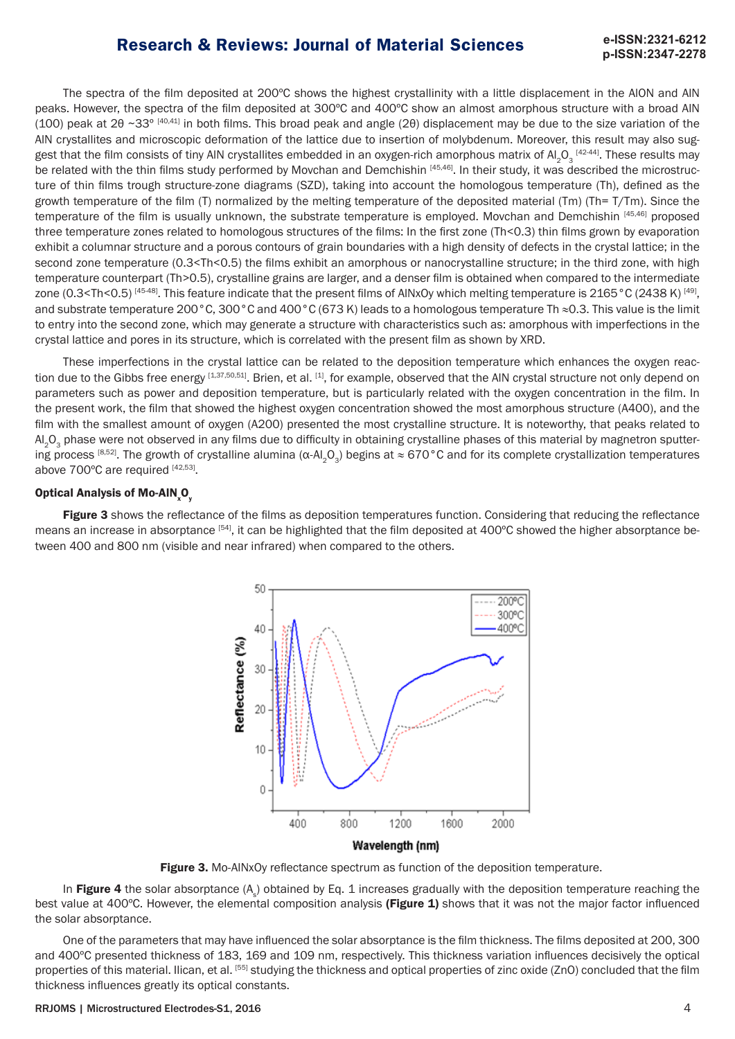# **p-ISSN:2347-2278**

The spectra of the film deposited at 200ºC shows the highest crystallinity with a little displacement in the AlON and AlN peaks. However, the spectra of the film deposited at 300ºC and 400ºC show an almost amorphous structure with a broad AlN (100) peak at 2θ ~33º [40,41] in both films. This broad peak and angle (2θ) displacement may be due to the size variation of the AlN crystallites and microscopic deformation of the lattice due to insertion of molybdenum. Moreover, this result may also suggest that the film consists of tiny AIN crystallites embedded in an oxygen-rich amorphous matrix of Al<sub>2</sub>O<sub>3</sub> [42-44]. These results may be related with the thin films study performed by Movchan and Demchishin [45,46]. In their study, it was described the microstructure of thin films trough structure-zone diagrams (SZD), taking into account the homologous temperature (Th), defined as the growth temperature of the film (T) normalized by the melting temperature of the deposited material (Tm) (Th= T/Tm). Since the temperature of the film is usually unknown, the substrate temperature is employed. Movchan and Demchishin [45,46] proposed three temperature zones related to homologous structures of the films: In the first zone (Th<0.3) thin films grown by evaporation exhibit a columnar structure and a porous contours of grain boundaries with a high density of defects in the crystal lattice; in the second zone temperature (0.3<Th<0.5) the films exhibit an amorphous or nanocrystalline structure; in the third zone, with high temperature counterpart (Th>0.5), crystalline grains are larger, and a denser film is obtained when compared to the intermediate zone (0.3<Th<0.5) [45-48]. This feature indicate that the present films of AINxOy which melting temperature is 2165 °C (2438 K) [49], and substrate temperature 200°C, 300°C and 400°C (673 K) leads to a homologous temperature Th ≈0.3. This value is the limit to entry into the second zone, which may generate a structure with characteristics such as: amorphous with imperfections in the crystal lattice and pores in its structure, which is correlated with the present film as shown by XRD.

These imperfections in the crystal lattice can be related to the deposition temperature which enhances the oxygen reaction due to the Gibbs free energy [1,37,50,51]. Brien, et al. [1], for example, observed that the AIN crystal structure not only depend on parameters such as power and deposition temperature, but is particularly related with the oxygen concentration in the film. In the present work, the film that showed the highest oxygen concentration showed the most amorphous structure (A400), and the film with the smallest amount of oxygen (A200) presented the most crystalline structure. It is noteworthy, that peaks related to Al<sub>2</sub>O<sub>3</sub> phase were not observed in any films due to difficulty in obtaining crystalline phases of this material by magnetron sputtering process [8,52]. The growth of crystalline alumina ( $\alpha$ -Al<sub>2</sub>O<sub>2</sub>) begins at ≈ 670°C and for its complete crystallization temperatures above 700°C are required [42,53].

### Optical Analysis of Mo-AIN $_{\sf x}$ O $_{\sf y}$

Figure 3 shows the reflectance of the films as deposition temperatures function. Considering that reducing the reflectance means an increase in absorptance [54], it can be highlighted that the film deposited at 400°C showed the higher absorptance between 400 and 800 nm (visible and near infrared) when compared to the others.



Figure 3. Mo-AlNxOy reflectance spectrum as function of the deposition temperature.

In Figure 4 the solar absorptance (A<sub>s</sub>) obtained by Eq. 1 increases gradually with the deposition temperature reaching the best value at 400°C. However, the elemental composition analysis (Figure 1) shows that it was not the major factor influenced the solar absorptance.

One of the parameters that may have influenced the solar absorptance is the film thickness. The films deposited at 200, 300 and 400ºC presented thickness of 183, 169 and 109 nm, respectively. This thickness variation influences decisively the optical properties of this material. Ilican, et al. [55] studying the thickness and optical properties of zinc oxide (ZnO) concluded that the film thickness influences greatly its optical constants.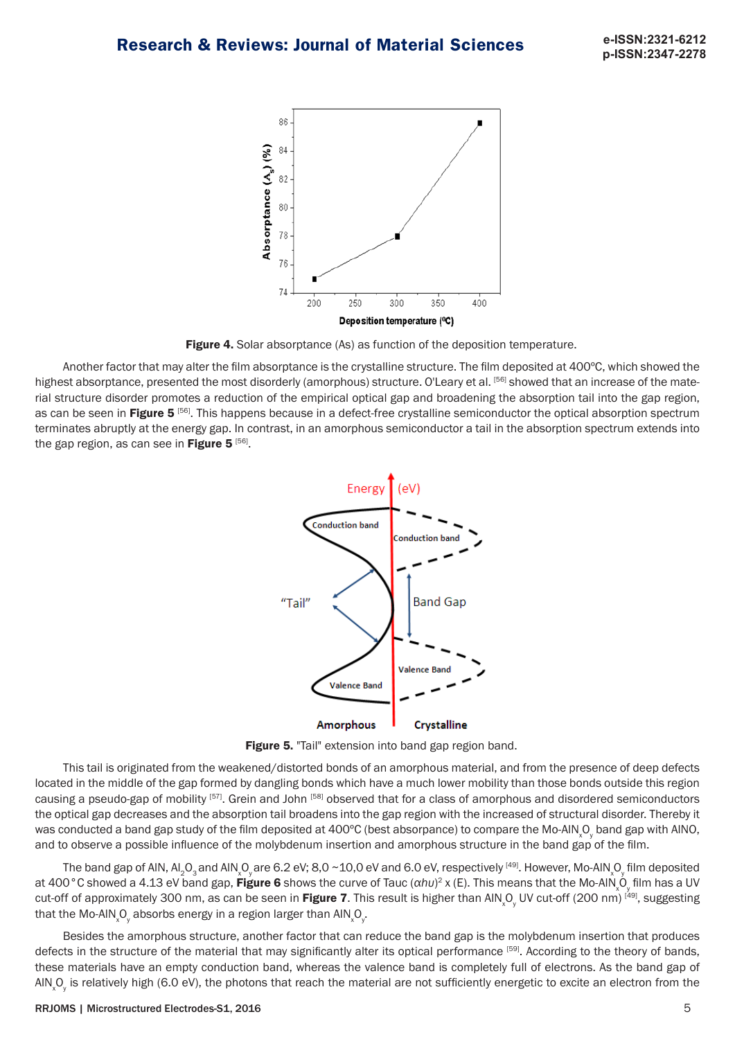

Figure 4. Solar absorptance (As) as function of the deposition temperature.

Another factor that may alter the film absorptance is the crystalline structure. The film deposited at 400ºC, which showed the highest absorptance, presented the most disorderly (amorphous) structure. O'Leary et al. <sup>[56]</sup> showed that an increase of the material structure disorder promotes a reduction of the empirical optical gap and broadening the absorption tail into the gap region, as can be seen in Figure 5<sup>[56]</sup>. This happens because in a defect-free crystalline semiconductor the optical absorption spectrum terminates abruptly at the energy gap. In contrast, in an amorphous semiconductor a tail in the absorption spectrum extends into the gap region, as can see in Figure  $5^{56}$ .



Figure 5. "Tail" extension into band gap region band.

This tail is originated from the weakened/distorted bonds of an amorphous material, and from the presence of deep defects located in the middle of the gap formed by dangling bonds which have a much lower mobility than those bonds outside this region causing a pseudo-gap of mobility [57]. Grein and John [58] observed that for a class of amorphous and disordered semiconductors the optical gap decreases and the absorption tail broadens into the gap region with the increased of structural disorder. Thereby it was conducted a band gap study of the film deposited at 400°C (best absorpance) to compare the Mo-AIN  $\rm _vO_y$  band gap with AINO, and to observe a possible influence of the molybdenum insertion and amorphous structure in the band gap of the film.

The band gap of AIN, Al<sub>2</sub>O<sub>3</sub> and AIN  $\rm_{x}O_{y}$  are 6.2 eV; 8,0 ~10,0 eV and 6.0 eV, respectively <sup>[49]</sup>. However, Mo-AIN  $\rm_{x}O_{y}$  film deposited at 400 °C showed a 4.13 eV band gap, **Figure 6** shows the curve of Tauc (αhυ)<sup>2</sup> x (E). This means that the Mo-AlN<sub>x</sub>O<sub>y</sub> film has a UV cut-off of approximately 300 nm, as can be seen in **Figure 7**. This result is higher than AIN<sub>x</sub>O<sub>y</sub> UV cut-off (200 nm) <sup>[49]</sup>, suggesting that the Mo-AIN  $_{\!\! \chi}$ O $_{\!\! \gamma}$  absorbs energy in a region larger than AIN  $_{\!\! \chi}$ O $_{\!\! \gamma}$ .

Besides the amorphous structure, another factor that can reduce the band gap is the molybdenum insertion that produces defects in the structure of the material that may significantly alter its optical performance [59]. According to the theory of bands, these materials have an empty conduction band, whereas the valence band is completely full of electrons. As the band gap of AIN<sub>x</sub>O<sub>y</sub> is relatively high (6.0 eV), the photons that reach the material are not sufficiently energetic to excite an electron from the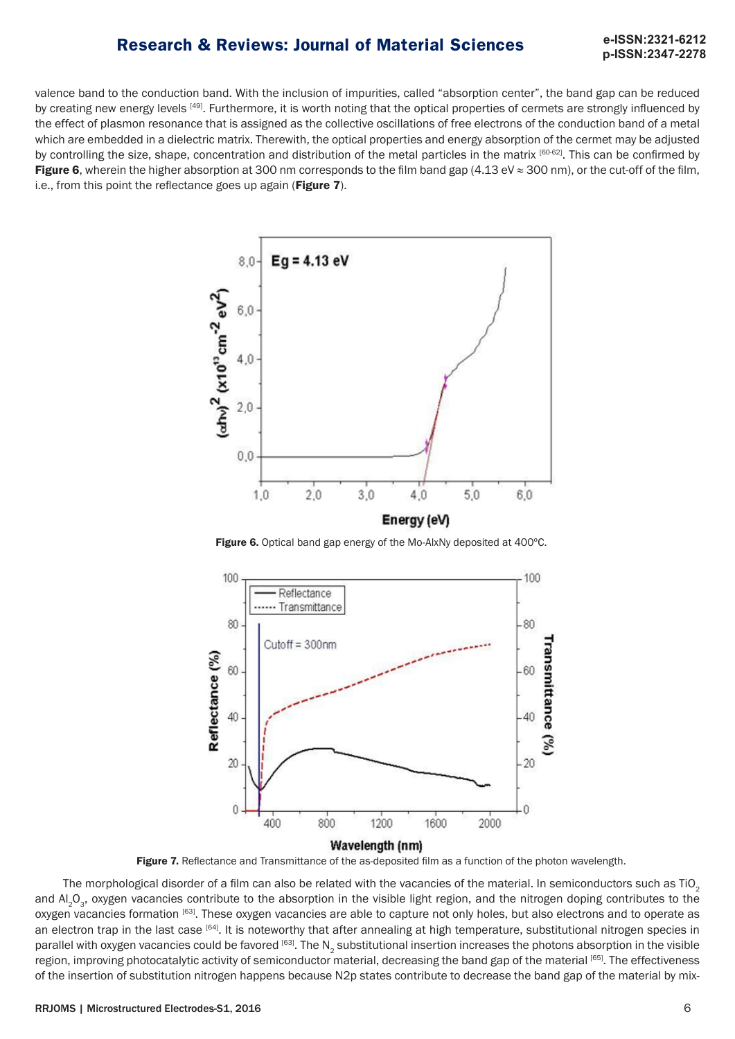# **p-ISSN:2347-2278**

valence band to the conduction band. With the inclusion of impurities, called "absorption center", the band gap can be reduced by creating new energy levels [49]. Furthermore, it is worth noting that the optical properties of cermets are strongly influenced by the effect of plasmon resonance that is assigned as the collective oscillations of free electrons of the conduction band of a metal which are embedded in a dielectric matrix. Therewith, the optical properties and energy absorption of the cermet may be adjusted by controlling the size, shape, concentration and distribution of the metal particles in the matrix [60-62]. This can be confirmed by Figure 6, wherein the higher absorption at 300 nm corresponds to the film band gap (4.13 eV  $\approx$  300 nm), or the cut-off of the film, i.e., from this point the reflectance goes up again (Figure 7).



Figure 6. Optical band gap energy of the Mo-AlxNy deposited at 400°C.



Figure 7. Reflectance and Transmittance of the as-deposited film as a function of the photon wavelength.

The morphological disorder of a film can also be related with the vacancies of the material. In semiconductors such as TiO<sub>2</sub> and Al<sub>2</sub>O<sub>2</sub>, oxygen vacancies contribute to the absorption in the visible light region, and the nitrogen doping contributes to the oxygen vacancies formation [63]. These oxygen vacancies are able to capture not only holes, but also electrons and to operate as an electron trap in the last case [64]. It is noteworthy that after annealing at high temperature, substitutional nitrogen species in parallel with oxygen vacancies could be favored [63]. The N<sub>2</sub> substitutional insertion increases the photons absorption in the visible region, improving photocatalytic activity of semiconductor material, decreasing the band gap of the material [65]. The effectiveness of the insertion of substitution nitrogen happens because N2p states contribute to decrease the band gap of the material by mix-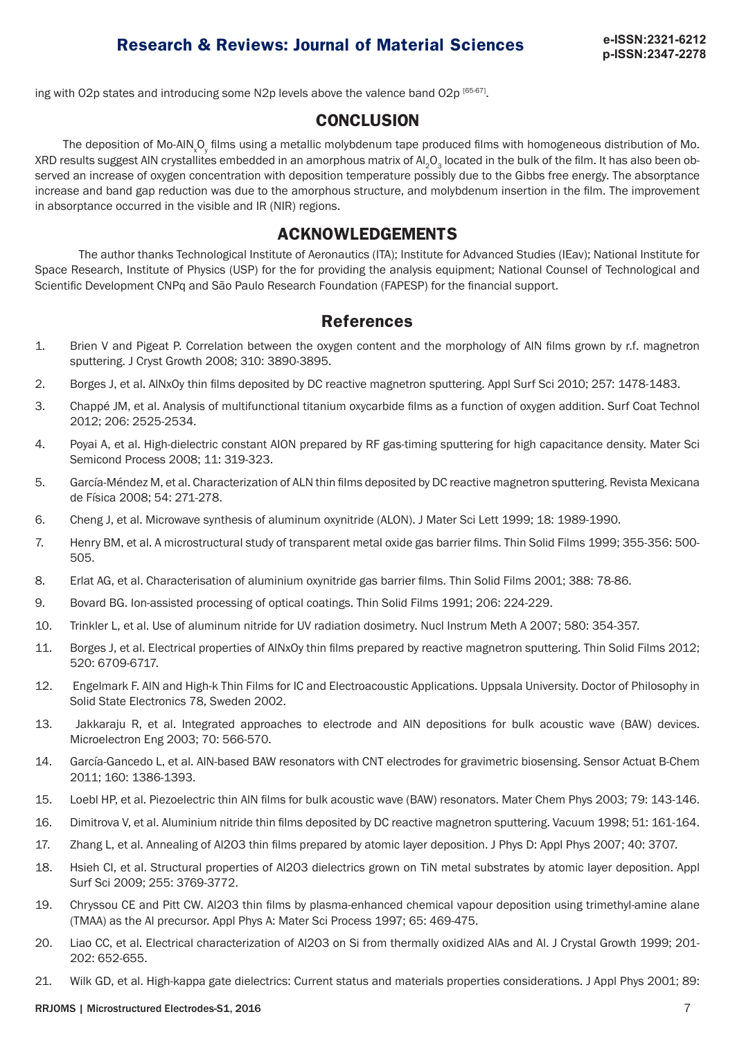ing with O2p states and introducing some N2p levels above the valence band O2p [65-67].

### **CONCLUSION**

The deposition of Mo-AIN<sub>x</sub>O<sub>y</sub> films using a metallic molybdenum tape produced films with homogeneous distribution of Mo. XRD results suggest AIN crystallites embedded in an amorphous matrix of Al<sub>2</sub>O<sub>2</sub> located in the bulk of the film. It has also been observed an increase of oxygen concentration with deposition temperature possibly due to the Gibbs free energy. The absorptance increase and band gap reduction was due to the amorphous structure, and molybdenum insertion in the film. The improvement in absorptance occurred in the visible and IR (NIR) regions.

### **ACKNOWLEDGEMENTS**

The author thanks Technological Institute of Aeronautics (ITA); Institute for Advanced Studies (IEav); National Institute for Space Research, Institute of Physics (USP) for the for providing the analysis equipment; National Counsel of Technological and Scientific Development CNPq and São Paulo Research Foundation (FAPESP) for the financial support.

### **References**

- 1. Brien V and Pigeat P. Correlation between the oxygen content and the morphology of AlN films grown by r.f. magnetron sputtering. J Cryst Growth 2008; 310: 3890-3895.
- 2. Borges J, et al. AlNxOy thin films deposited by DC reactive magnetron sputtering. Appl Surf Sci 2010; 257: 1478-1483.
- 3. Chappé JM, et al. Analysis of multifunctional titanium oxycarbide films as a function of oxygen addition. Surf Coat Technol 2012; 206: 2525-2534.
- 4. Poyai A, et al. High-dielectric constant AION prepared by RF gas-timing sputtering for high capacitance density. Mater Sci Semicond Process 2008; 11: 319-323.
- 5. García-Méndez M, et al. Characterization of ALN thin films deposited by DC reactive magnetron sputtering. Revista Mexicana de Física 2008; 54: 271-278.
- 6. Cheng J, et al. Microwave synthesis of aluminum oxynitride (ALON). J Mater Sci Lett 1999; 18: 1989-1990.
- 7. Henry BM, et al. A microstructural study of transparent metal oxide gas barrier films. Thin Solid Films 1999; 355-356: 500- 505.
- 8. Erlat AG, et al. Characterisation of aluminium oxynitride gas barrier films. Thin Solid Films 2001; 388: 78-86.
- 9. Bovard BG. Ion-assisted processing of optical coatings. Thin Solid Films 1991; 206: 224-229.
- 10. Trinkler L, et al. Use of aluminum nitride for UV radiation dosimetry. Nucl Instrum Meth A 2007; 580: 354-357.
- 11. Borges J, et al. Electrical properties of AlNxOy thin films prepared by reactive magnetron sputtering. Thin Solid Films 2012; 520: 6709-6717.
- 12. Engelmark F. AlN and High-k Thin Films for IC and Electroacoustic Applications. Uppsala University. Doctor of Philosophy in Solid State Electronics 78, Sweden 2002.
- 13. Jakkaraju R, et al. Integrated approaches to electrode and AlN depositions for bulk acoustic wave (BAW) devices. Microelectron Eng 2003; 70: 566-570.
- 14. García-Gancedo L, et al. AlN-based BAW resonators with CNT electrodes for gravimetric biosensing. Sensor Actuat B-Chem 2011; 160: 1386-1393.
- 15. Loebl HP, et al. Piezoelectric thin AlN films for bulk acoustic wave (BAW) resonators. Mater Chem Phys 2003; 79: 143-146.
- 16. Dimitrova V, et al. Aluminium nitride thin films deposited by DC reactive magnetron sputtering. Vacuum 1998; 51: 161-164.
- 17. Zhang L, et al. Annealing of Al2O3 thin films prepared by atomic layer deposition. J Phys D: Appl Phys 2007; 40: 3707.
- 18. Hsieh CI, et al. Structural properties of Al2O3 dielectrics grown on TiN metal substrates by atomic layer deposition. Appl Surf Sci 2009; 255: 3769-3772.
- 19. Chryssou CE and Pitt CW. Al2O3 thin films by plasma-enhanced chemical vapour deposition using trimethyl-amine alane (TMAA) as the Al precursor. Appl Phys A: Mater Sci Process 1997; 65: 469-475.
- 20. Liao CC, et al. Electrical characterization of Al2O3 on Si from thermally oxidized AlAs and Al. J Crystal Growth 1999; 201- 202: 652-655.
- 21. Wilk GD, et al. High-kappa gate dielectrics: Current status and materials properties considerations. J Appl Phys 2001; 89:

#### RRJOMS | Microstructured Electrodes-S1, 2016 7 | 2016 | 2017 | 2018 | 2019 | 2019 | 2020 | 2020 | 2020 | 2020 | 2020 | 2020 | 2020 | 2020 | 2020 | 2020 | 2020 | 2020 | 2020 | 2020 | 2020 | 2020 | 2020 | 2020 | 2020 | 2020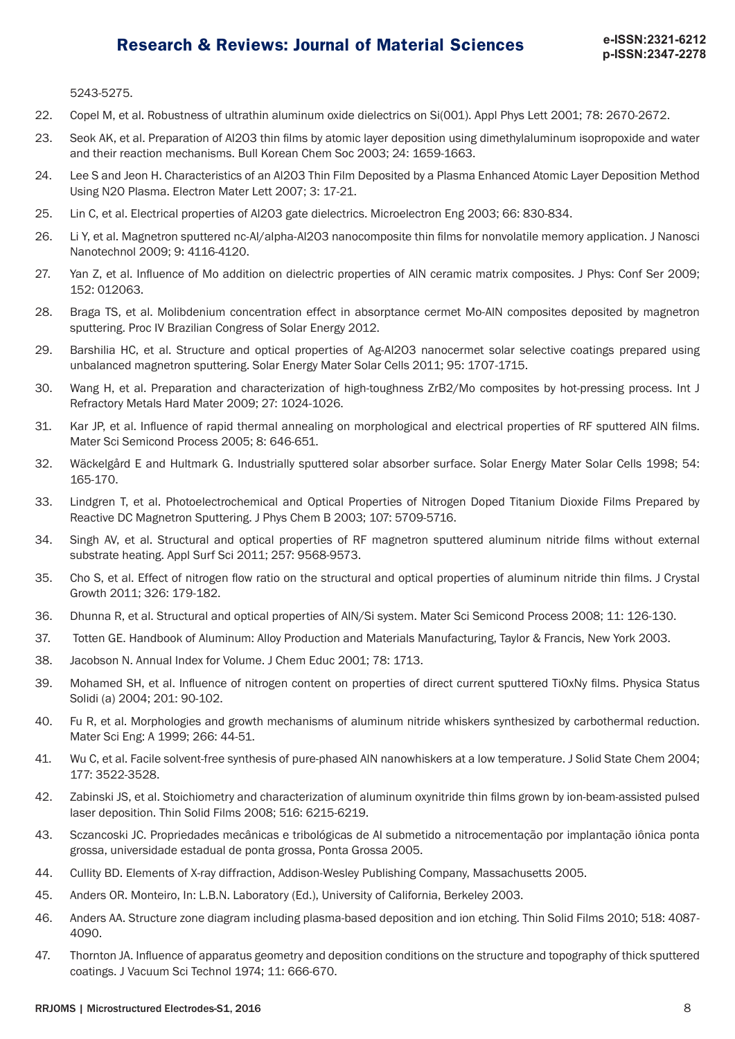5243-5275.

- 22. Copel M, et al. Robustness of ultrathin aluminum oxide dielectrics on Si(001). Appl Phys Lett 2001; 78: 2670-2672.
- 23. Seok AK, et al. Preparation of Al2O3 thin films by atomic layer deposition using dimethylaluminum isopropoxide and water and their reaction mechanisms. Bull Korean Chem Soc 2003; 24: 1659-1663.
- 24. Lee S and Jeon H. Characteristics of an Al2O3 Thin Film Deposited by a Plasma Enhanced Atomic Layer Deposition Method Using N2O Plasma. Electron Mater Lett 2007; 3: 17-21.
- 25. Lin C, et al. Electrical properties of Al2O3 gate dielectrics. Microelectron Eng 2003; 66: 830-834.
- 26. Li Y, et al. Magnetron sputtered nc-Al/alpha-Al2O3 nanocomposite thin films for nonvolatile memory application. J Nanosci Nanotechnol 2009; 9: 4116-4120.
- 27. Yan Z, et al. Influence of Mo addition on dielectric properties of AlN ceramic matrix composites. J Phys: Conf Ser 2009; 152: 012063.
- 28. Braga TS, et al. Molibdenium concentration effect in absorptance cermet Mo-AlN composites deposited by magnetron sputtering. Proc IV Brazilian Congress of Solar Energy 2012.
- 29. Barshilia HC, et al. Structure and optical properties of Ag-Al2O3 nanocermet solar selective coatings prepared using unbalanced magnetron sputtering. Solar Energy Mater Solar Cells 2011; 95: 1707-1715.
- 30. Wang H, et al. Preparation and characterization of high-toughness ZrB2/Mo composites by hot-pressing process. Int J Refractory Metals Hard Mater 2009; 27: 1024-1026.
- 31. Kar JP, et al. Influence of rapid thermal annealing on morphological and electrical properties of RF sputtered AlN films. Mater Sci Semicond Process 2005; 8: 646-651.
- 32. Wäckelgård E and Hultmark G. Industrially sputtered solar absorber surface. Solar Energy Mater Solar Cells 1998; 54: 165-170.
- 33. Lindgren T, et al. Photoelectrochemical and Optical Properties of Nitrogen Doped Titanium Dioxide Films Prepared by Reactive DC Magnetron Sputtering. J Phys Chem B 2003; 107: 5709-5716.
- 34. Singh AV, et al. Structural and optical properties of RF magnetron sputtered aluminum nitride films without external substrate heating. Appl Surf Sci 2011; 257: 9568-9573.
- 35. Cho S, et al. Effect of nitrogen flow ratio on the structural and optical properties of aluminum nitride thin films. J Crystal Growth 2011; 326: 179-182.
- 36. Dhunna R, et al. Structural and optical properties of AlN/Si system. Mater Sci Semicond Process 2008; 11: 126-130.
- 37. Totten GE. Handbook of Aluminum: Alloy Production and Materials Manufacturing, Taylor & Francis, New York 2003.
- 38. Jacobson N. Annual Index for Volume. J Chem Educ 2001; 78: 1713.
- 39. Mohamed SH, et al. Influence of nitrogen content on properties of direct current sputtered TiOxNy films. Physica Status Solidi (a) 2004; 201: 90-102.
- 40. Fu R, et al. Morphologies and growth mechanisms of aluminum nitride whiskers synthesized by carbothermal reduction. Mater Sci Eng: A 1999; 266: 44-51.
- 41. Wu C, et al. Facile solvent-free synthesis of pure-phased AlN nanowhiskers at a low temperature. J Solid State Chem 2004; 177: 3522-3528.
- 42. Zabinski JS, et al. Stoichiometry and characterization of aluminum oxynitride thin films grown by ion-beam-assisted pulsed laser deposition. Thin Solid Films 2008; 516: 6215-6219.
- 43. Sczancoski JC. Propriedades mecânicas e tribológicas de Al submetido a nitrocementação por implantação iônica ponta grossa, universidade estadual de ponta grossa, Ponta Grossa 2005.
- 44. Cullity BD. Elements of X-ray diffraction, Addison-Wesley Publishing Company, Massachusetts 2005.
- 45. Anders OR. Monteiro, In: L.B.N. Laboratory (Ed.), University of California, Berkeley 2003.
- 46. Anders AA. Structure zone diagram including plasma-based deposition and ion etching. Thin Solid Films 2010; 518: 4087- 4090.
- 47. Thornton JA. Influence of apparatus geometry and deposition conditions on the structure and topography of thick sputtered coatings. J Vacuum Sci Technol 1974; 11: 666-670.